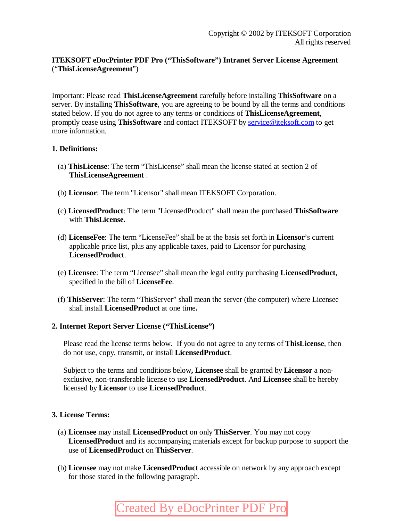## **ITEKSOFT eDocPrinter PDF Pro ("ThisSoftware") Intranet Server License Agreement**  ("**ThisLicenseAgreement**")

Important: Please read **ThisLicenseAgreement** carefully before installing **ThisSoftware** on a server. By installing **ThisSoftware**, you are agreeing to be bound by all the terms and conditions stated below. If you do not agree to any terms or conditions of **ThisLicenseAgreement**, promptly cease using **ThisSoftware** and contact ITEKSOFT by [service@iteksoft.com](mailto:service@iteksoft.com) to get more information.

### **1. Definitions:**

- (a) **ThisLicense**: The term "ThisLicense" shall mean the license stated at section 2 of **ThisLicenseAgreement** .
- (b) **Licensor**: The term "Licensor" shall mean ITEKSOFT Corporation.
- (c) **LicensedProduct**: The term "LicensedProduct" shall mean the purchased **ThisSoftware** with **ThisLicense.**
- (d) **LicenseFee**: The term "LicenseFee" shall be at the basis set forth in **Licensor**'s current applicable price list, plus any applicable taxes, paid to Licensor for purchasing **LicensedProduct**.
- (e) **Licensee**: The term "Licensee" shall mean the legal entity purchasing **LicensedProduct**, specified in the bill of **LicenseFee**.
- (f) **ThisServer**: The term "ThisServer" shall mean the server (the computer) where Licensee shall install **LicensedProduct** at one time**.**
- **2. Internet Report Server License ("ThisLicense")**

Please read the license terms below. If you do not agree to any terms of **ThisLicense**, then do not use, copy, transmit, or install **LicensedProduct**.

Subject to the terms and conditions below**, Licensee** shall be granted by **Licensor** a nonexclusive, non-transferable license to use **LicensedProduct**. And **Licensee** shall be hereby licensed by **Licensor** to use **LicensedProduct**.

## **3. License Terms:**

- (a) **Licensee** may install **LicensedProduct** on only **ThisServer**. You may not copy **LicensedProduct** and its accompanying materials except for backup purpose to support the use of **LicensedProduct** on **ThisServer**.
- (b) **Licensee** may not make **LicensedProduct** accessible on network by any approach except for those stated in the following paragraph.

# [Created By eDocPrinter PDF Pro](http://www.iteksoft.com/)